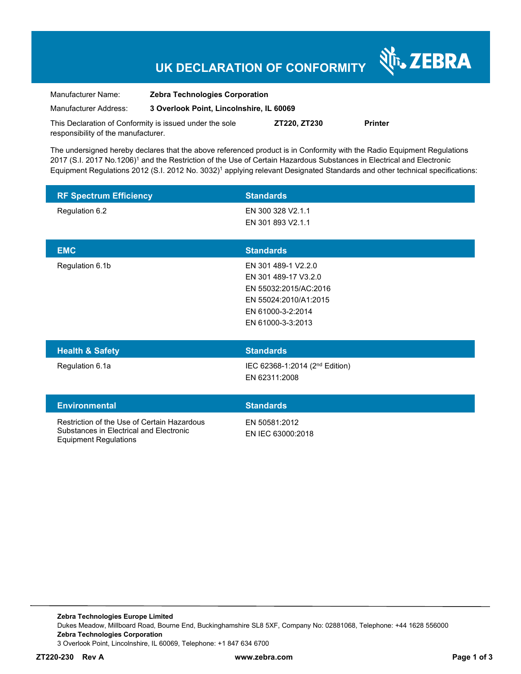## **UK DECLARATION OF CONFORMITY**

N<sub>T</sub>, ZEBRA

| Manufacturer Name:                                      | <b>Zebra Technologies Corporation</b>    |              |                |
|---------------------------------------------------------|------------------------------------------|--------------|----------------|
| Manufacturer Address:                                   | 3 Overlook Point, Lincolnshire, IL 60069 |              |                |
| This Declaration of Conformity is issued under the sole |                                          | ZT220. ZT230 | <b>Printer</b> |

The undersigned hereby declares that the above referenced product is in Conformity with the Radio Equipment Regulations 2017 (S.I. 2017 No.1206)<sup>1</sup> and the Restriction of the Use of Certain Hazardous Substances in Electrical and Electronic Equipment Regulations 2012 (S.I. 2012 No. 3032)<sup>1</sup> applying relevant Designated Standards and other technical specifications:

| <b>RF Spectrum Efficiency</b>               | <b>Standards</b>                                                                                                                        |
|---------------------------------------------|-----------------------------------------------------------------------------------------------------------------------------------------|
| Regulation 6.2                              | EN 300 328 V2.1.1<br>EN 301 893 V2.1.1                                                                                                  |
| <b>EMC</b>                                  | <b>Standards</b>                                                                                                                        |
| Regulation 6.1b                             | EN 301 489-1 V2.2.0<br>EN 301 489-17 V3.2.0<br>EN 55032:2015/AC:2016<br>EN 55024:2010/A1:2015<br>EN 61000-3-2:2014<br>EN 61000-3-3:2013 |
| <b>Health &amp; Safety</b>                  | <b>Standards</b>                                                                                                                        |
| Regulation 6.1a                             | IEC 62368-1:2014 (2 <sup>nd</sup> Edition)<br>EN 62311:2008                                                                             |
| <b>Environmental</b>                        | <b>Standards</b>                                                                                                                        |
| Restriction of the Use of Certain Hazardous | EN 50581:2012                                                                                                                           |

EN IEC 63000:2018

Substances in Electrical and Electronic Equipment Regulations

responsibility of the manufacturer.

**Zebra Technologies Europe Limited**  Dukes Meadow, Millboard Road, Bourne End, Buckinghamshire SL8 5XF, Company No: 02881068, Telephone: +44 1628 556000 **Zebra Technologies Corporation**  3 Overlook Point, Lincolnshire, IL 60069, Telephone: +1 847 634 6700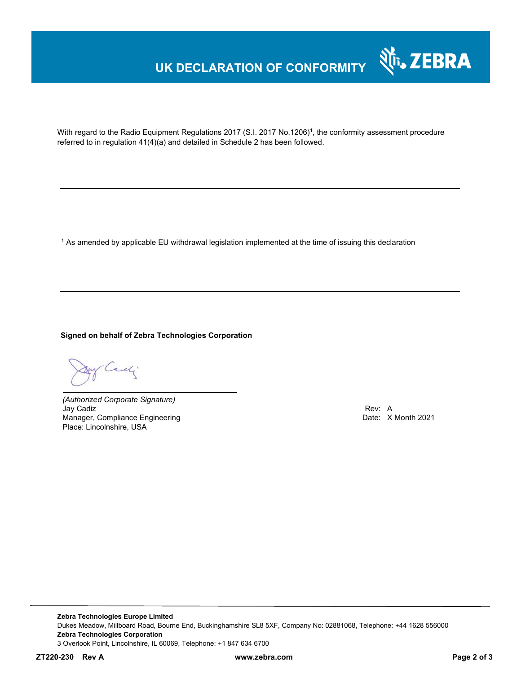## **UK DECLARATION OF CONFORMITY**



With regard to the Radio Equipment Regulations 2017 (S.I. 2017 No.1206)<sup>1</sup>, the conformity assessment procedure referred to in regulation 41(4)(a) and detailed in Schedule 2 has been followed.

 $^{\rm 1}$  As amended by applicable EU withdrawal legislation implemented at the time of issuing this declaration

**Signed on behalf of Zebra Technologies Corporation** 

Cady.

*(Authorized Corporate Signature)* Jay Cadiz Rev: A Manager, Compliance Engineering **Date: X Month 2021 Date: X Month 2021** Place: Lincolnshire, USA

**Zebra Technologies Europe Limited**  Dukes Meadow, Millboard Road, Bourne End, Buckinghamshire SL8 5XF, Company No: 02881068, Telephone: +44 1628 556000 **Zebra Technologies Corporation**  3 Overlook Point, Lincolnshire, IL 60069, Telephone: +1 847 634 6700